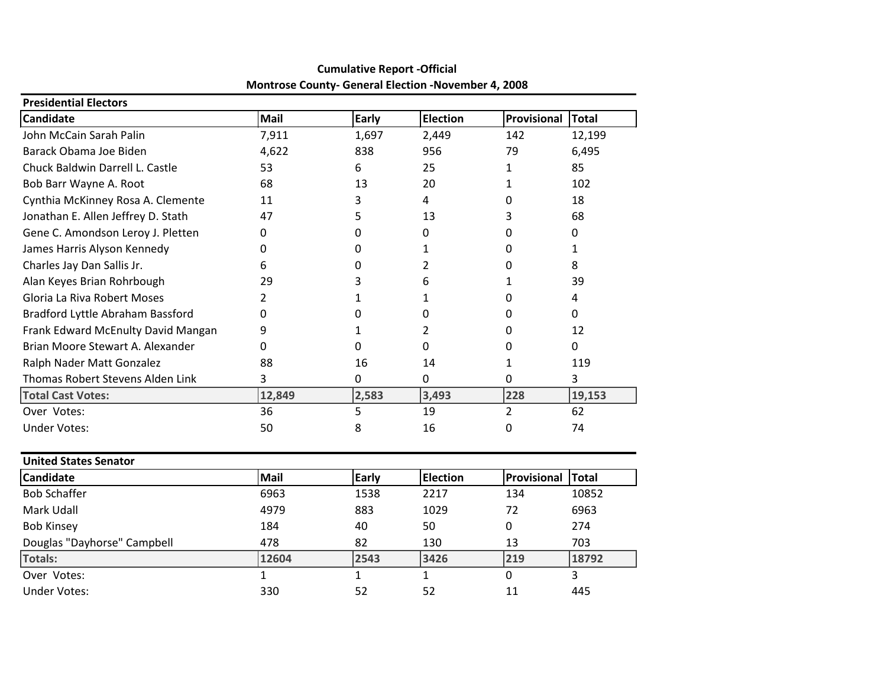| <b>Presidential Electors</b>       |             |       |                 |             |        |  |  |  |  |
|------------------------------------|-------------|-------|-----------------|-------------|--------|--|--|--|--|
| <b>Candidate</b>                   | <b>Mail</b> | Early | <b>Election</b> | Provisional | Total  |  |  |  |  |
| John McCain Sarah Palin            | 7,911       | 1,697 | 2,449           | 142         | 12,199 |  |  |  |  |
| Barack Obama Joe Biden             | 4,622       | 838   | 956             | 79          | 6,495  |  |  |  |  |
| Chuck Baldwin Darrell L. Castle    | 53          | 6     | 25              | 1           | 85     |  |  |  |  |
| Bob Barr Wayne A. Root             | 68          | 13    | 20              |             | 102    |  |  |  |  |
| Cynthia McKinney Rosa A. Clemente  | 11          | 3     | 4               | 0           | 18     |  |  |  |  |
| Jonathan E. Allen Jeffrey D. Stath | 47          | 5     | 13              | 3           | 68     |  |  |  |  |
| Gene C. Amondson Leroy J. Pletten  | 0           | 0     | 0               | 0           | 0      |  |  |  |  |
| James Harris Alyson Kennedy        | O           | O     |                 | 0           |        |  |  |  |  |
| Charles Jay Dan Sallis Jr.         | 6           | 0     | 2               | 0           | 8      |  |  |  |  |
| Alan Keyes Brian Rohrbough         | 29          | 3     | 6               |             | 39     |  |  |  |  |
| Gloria La Riva Robert Moses        |             |       |                 | 0           | 4      |  |  |  |  |
| Bradford Lyttle Abraham Bassford   | 0           | 0     | 0               | 0           | 0      |  |  |  |  |
| Frank Edward McEnulty David Mangan | 9           |       | 2               | 0           | 12     |  |  |  |  |
| Brian Moore Stewart A. Alexander   | O           | 0     | 0               | 0           | 0      |  |  |  |  |
| Ralph Nader Matt Gonzalez          | 88          | 16    | 14              |             | 119    |  |  |  |  |
| Thomas Robert Stevens Alden Link   | 3           | 0     | 0               | 0           | 3      |  |  |  |  |
| <b>Total Cast Votes:</b>           | 12,849      | 2,583 | 3,493           | 228         | 19,153 |  |  |  |  |
| Over Votes:                        | 36          | 5     | 19              | 2           | 62     |  |  |  |  |
| <b>Under Votes:</b>                | 50          | 8     | 16              | 0           | 74     |  |  |  |  |

#### **Cumulative Report -Official Montrose County- General Election -November 4, 2008**

| <b>United States Senator</b> |       |              |                 |             |              |  |  |  |
|------------------------------|-------|--------------|-----------------|-------------|--------------|--|--|--|
| <b>Candidate</b>             | Mail  | <b>Early</b> | <b>Election</b> | Provisional | <b>Total</b> |  |  |  |
| <b>Bob Schaffer</b>          | 6963  | 1538         | 2217            | 134         | 10852        |  |  |  |
| Mark Udall                   | 4979  | 883          | 1029            | 72          | 6963         |  |  |  |
| <b>Bob Kinsey</b>            | 184   | 40           | 50              | 0           | 274          |  |  |  |
| Douglas "Dayhorse" Campbell  | 478   | 82           | 130             | 13          | 703          |  |  |  |
| Totals:                      | 12604 | 2543         | 3426            | 219         | 18792        |  |  |  |
| Over Votes:                  |       |              |                 | 0           |              |  |  |  |
| Under Votes:                 | 330   | 52           | 52              | 11          | 445          |  |  |  |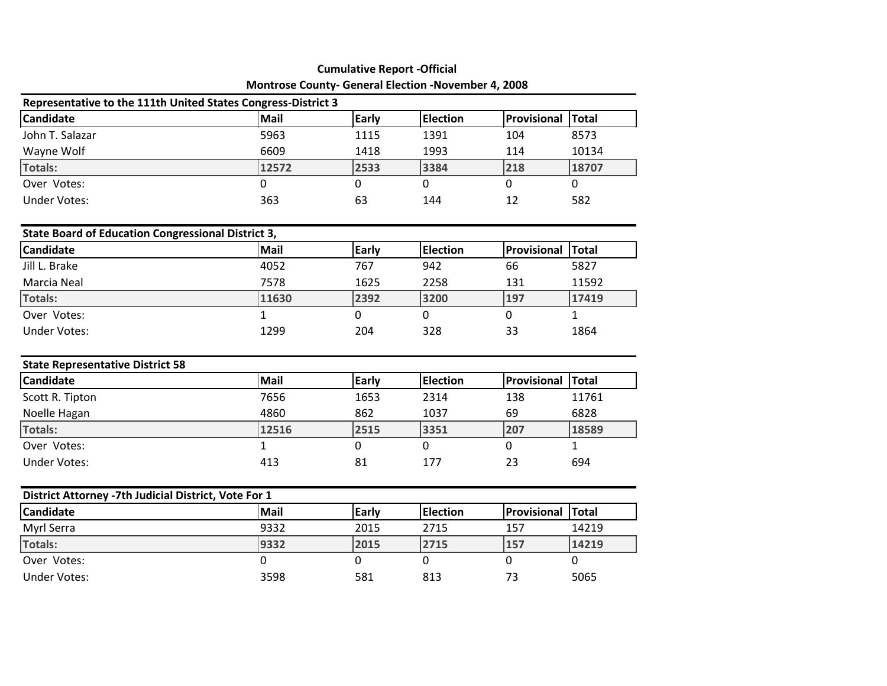| <b>Montrose County- General Election -November 4, 2008</b><br>Representative to the 111th United States Congress-District 3 |       |      |      |     |       |  |  |
|-----------------------------------------------------------------------------------------------------------------------------|-------|------|------|-----|-------|--|--|
|                                                                                                                             |       |      |      |     |       |  |  |
| John T. Salazar                                                                                                             | 5963  | 1115 | 1391 | 104 | 8573  |  |  |
| Wayne Wolf                                                                                                                  | 6609  | 1418 | 1993 | 114 | 10134 |  |  |
| Totals:                                                                                                                     | 12572 | 2533 | 3384 | 218 | 18707 |  |  |
| Over Votes:                                                                                                                 |       |      | 0    |     |       |  |  |
| Under Votes:                                                                                                                | 363   | 63   | 144  | 12  | 582   |  |  |

| State Board of Education Congressional District 3, |       |       |                 |                          |       |  |  |  |
|----------------------------------------------------|-------|-------|-----------------|--------------------------|-------|--|--|--|
| <b>Candidate</b>                                   | Mail  | Early | <b>Election</b> | <b>Provisional Total</b> |       |  |  |  |
| Jill L. Brake                                      | 4052  | 767   | 942             | 66                       | 5827  |  |  |  |
| Marcia Neal                                        | 7578  | 1625  | 2258            | 131                      | 11592 |  |  |  |
| Totals:                                            | 11630 | 2392  | 3200            | 197                      | 17419 |  |  |  |
| Over Votes:                                        |       |       |                 |                          |       |  |  |  |
| Under Votes:                                       | 1299  | 204   | 328             | 33                       | 1864  |  |  |  |

| <b>State Representative District 58</b> |       |              |                  |                          |       |  |  |  |
|-----------------------------------------|-------|--------------|------------------|--------------------------|-------|--|--|--|
| Candidate                               | Mail  | <b>Early</b> | <b>IElection</b> | <b>Provisional Total</b> |       |  |  |  |
| Scott R. Tipton                         | 7656  | 1653         | 2314             | 138                      | 11761 |  |  |  |
| Noelle Hagan                            | 4860  | 862          | 1037             | 69                       | 6828  |  |  |  |
| Totals:                                 | 12516 | 2515         | 3351             | 207                      | 18589 |  |  |  |
| Over Votes:                             |       |              |                  |                          |       |  |  |  |
| Under Votes:                            | 413   | 81           | 177              | 23                       | 694   |  |  |  |

| District Attorney -7th Judicial District, Vote For 1 |             |              |          |                          |       |  |  |  |
|------------------------------------------------------|-------------|--------------|----------|--------------------------|-------|--|--|--|
| <b>Candidate</b>                                     | <b>Mail</b> | <b>Early</b> | Election | <b>Provisional Total</b> |       |  |  |  |
| Myrl Serra                                           | 9332        | 2015         | 2715     | 157                      | 14219 |  |  |  |
| Totals:                                              | 9332        | 2015         | 2715     | 157                      | 14219 |  |  |  |
| Over Votes:                                          |             |              |          |                          |       |  |  |  |
| Under Votes:                                         | 3598        | 581          | 813      | 73                       | 5065  |  |  |  |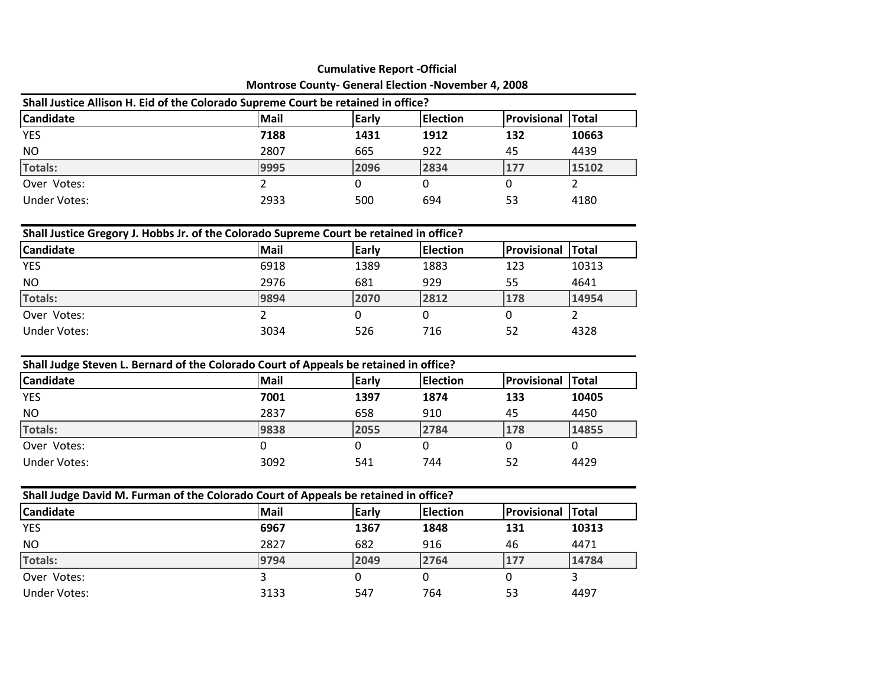| Montrose County- General Election -November 4, 2008                               |      |       |                  |             |               |  |  |  |
|-----------------------------------------------------------------------------------|------|-------|------------------|-------------|---------------|--|--|--|
| Shall Justice Allison H. Eid of the Colorado Supreme Court be retained in office? |      |       |                  |             |               |  |  |  |
| <b>Candidate</b>                                                                  | Mail | Early | <b>IElection</b> | Provisional | <b>ITotal</b> |  |  |  |
| <b>YES</b>                                                                        | 7188 | 1431  | 1912             | 132         | 10663         |  |  |  |
| <b>NO</b>                                                                         | 2807 | 665   | 922              | 45          | 4439          |  |  |  |
| Totals:                                                                           | 9995 | 2096  | 2834             | 177         | 15102         |  |  |  |
| Over Votes:                                                                       |      |       |                  |             |               |  |  |  |
| Under Votes:                                                                      | 2933 | 500   | 694              | 53          | 4180          |  |  |  |

| Shall Justice Gregory J. Hobbs Jr. of the Colorado Supreme Court be retained in office? |      |       |                 |             |              |  |  |  |  |
|-----------------------------------------------------------------------------------------|------|-------|-----------------|-------------|--------------|--|--|--|--|
| <b>Candidate</b>                                                                        | Mail | Early | <b>Election</b> | Provisional | <b>Total</b> |  |  |  |  |
| <b>YES</b>                                                                              | 6918 | 1389  | 1883            | 123         | 10313        |  |  |  |  |
| <b>NO</b>                                                                               | 2976 | 681   | 929             | 55          | 4641         |  |  |  |  |
| Totals:                                                                                 | 9894 | 2070  | 2812            | 178         | 14954        |  |  |  |  |
| Over Votes:                                                                             |      |       | 0               | 0           |              |  |  |  |  |
| Under Votes:                                                                            | 3034 | 526   | 716             | 52          | 4328         |  |  |  |  |

| Shall Judge Steven L. Bernard of the Colorado Court of Appeals be retained in office? |             |       |                  |                     |               |  |  |  |
|---------------------------------------------------------------------------------------|-------------|-------|------------------|---------------------|---------------|--|--|--|
| Candidate                                                                             | <b>Mail</b> | Early | <b>IElection</b> | <b>IProvisional</b> | <b>ITotal</b> |  |  |  |
| <b>YES</b>                                                                            | 7001        | 1397  | 1874             | 133                 | 10405         |  |  |  |
| <b>NO</b>                                                                             | 2837        | 658   | 910              | 45                  | 4450          |  |  |  |
| Totals:                                                                               | 9838        | 2055  | 2784             | 178                 | 14855         |  |  |  |
| Over Votes:                                                                           |             |       |                  |                     | 0             |  |  |  |
| <b>Under Votes:</b>                                                                   | 3092        | 541   | 744              | 52                  | 4429          |  |  |  |

| Shall Judge David M. Furman of the Colorado Court of Appeals be retained in office? |             |       |                 |                          |       |  |  |  |
|-------------------------------------------------------------------------------------|-------------|-------|-----------------|--------------------------|-------|--|--|--|
| <b>Candidate</b>                                                                    | <b>Mail</b> | Early | <b>Election</b> | <b>Provisional Total</b> |       |  |  |  |
| <b>YES</b>                                                                          | 6967        | 1367  | 1848            | 131                      | 10313 |  |  |  |
| NO.                                                                                 | 2827        | 682   | 916             | 46                       | 4471  |  |  |  |
| Totals:                                                                             | 9794        | 2049  | 2764            | 177                      | 14784 |  |  |  |
| Over Votes:                                                                         |             |       |                 |                          |       |  |  |  |
| Under Votes:                                                                        | 3133        | 547   | 764             | 53                       | 4497  |  |  |  |

#### **Cumulative Report -Official<br>unty-General Election -November 4, 2008** Montrose County- General Election - No

┑

 $\Box$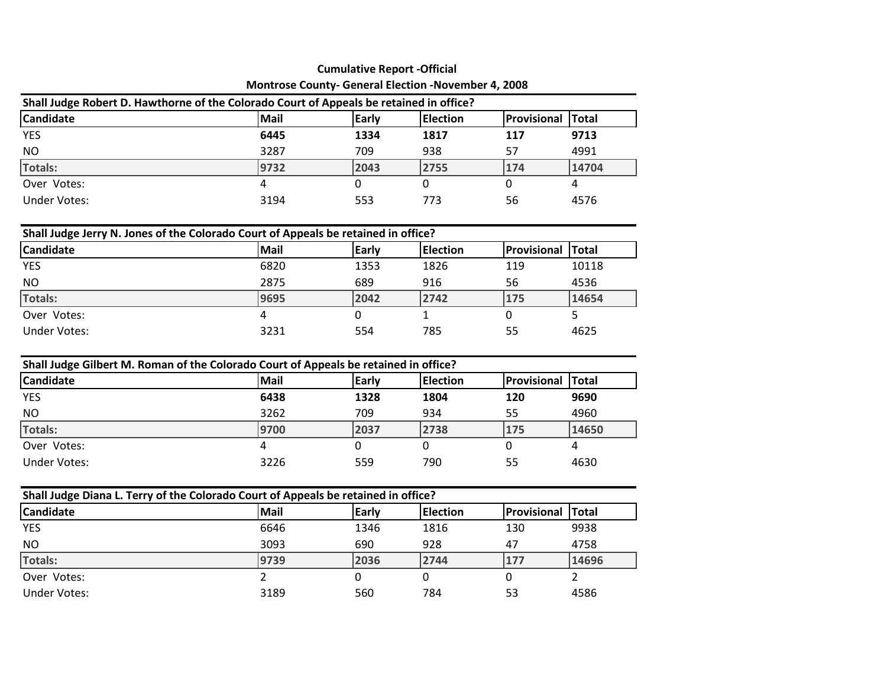|                                                                                         | <b>Cumulative Report -Official</b>                                     |      |      |     |       |  |  |  |  |
|-----------------------------------------------------------------------------------------|------------------------------------------------------------------------|------|------|-----|-------|--|--|--|--|
|                                                                                         | <b>Montrose County- General Election -November 4, 2008</b>             |      |      |     |       |  |  |  |  |
| Shall Judge Robert D. Hawthorne of the Colorado Court of Appeals be retained in office? |                                                                        |      |      |     |       |  |  |  |  |
| <b>Candidate</b>                                                                        | Provisional<br><b>Election</b><br>Mail<br><b>Early</b><br><b>Total</b> |      |      |     |       |  |  |  |  |
| <b>YES</b>                                                                              | 6445                                                                   | 1334 | 1817 | 117 | 9713  |  |  |  |  |
| NO                                                                                      | 3287                                                                   | 709  | 938  | 57  | 4991  |  |  |  |  |
| Totals:                                                                                 | 9732                                                                   | 2043 | 2755 | 174 | 14704 |  |  |  |  |
| Over Votes:                                                                             | 4                                                                      |      |      | 0   | 4     |  |  |  |  |
| Under Votes:                                                                            | 3194                                                                   | 553  | 773  | 56  | 4576  |  |  |  |  |

| Shall Judge Jerry N. Jones of the Colorado Court of Appeals be retained in office? |      |       |                  |                    |               |  |  |  |  |
|------------------------------------------------------------------------------------|------|-------|------------------|--------------------|---------------|--|--|--|--|
| <b>Candidate</b>                                                                   | Mail | Early | <b>IElection</b> | <b>Provisional</b> | <b>ITotal</b> |  |  |  |  |
| <b>YES</b>                                                                         | 6820 | 1353  | 1826             | 119                | 10118         |  |  |  |  |
| <b>NO</b>                                                                          | 2875 | 689   | 916              | 56                 | 4536          |  |  |  |  |
| Totals:                                                                            | 9695 | 2042  | 2742             | 175                | 14654         |  |  |  |  |
| Over Votes:                                                                        |      |       |                  |                    |               |  |  |  |  |
| Under Votes:                                                                       | 3231 | 554   | 785              | 55                 | 4625          |  |  |  |  |

| Shall Judge Gilbert M. Roman of the Colorado Court of Appeals be retained in office? |      |              |                  |                    |               |
|--------------------------------------------------------------------------------------|------|--------------|------------------|--------------------|---------------|
| <b>Candidate</b>                                                                     | Mail | <b>Early</b> | <b>IElection</b> | <b>Provisional</b> | <b>ITotal</b> |
| <b>YES</b>                                                                           | 6438 | 1328         | 1804             | 120                | 9690          |
| <b>NO</b>                                                                            | 3262 | 709          | 934              | 55                 | 4960          |
| Totals:                                                                              | 9700 | 2037         | 2738             | 175                | 14650         |
| Over Votes:                                                                          |      |              |                  |                    |               |
| Under Votes:                                                                         | 3226 | 559          | 790              | 55                 | 4630          |

| Shall Judge Diana L. Terry of the Colorado Court of Appeals be retained in office? |      |       |                 |                    |               |  |
|------------------------------------------------------------------------------------|------|-------|-----------------|--------------------|---------------|--|
| <b>Candidate</b>                                                                   | Mail | Early | <b>Election</b> | <b>Provisional</b> | <b>ITotal</b> |  |
| <b>YES</b>                                                                         | 6646 | 1346  | 1816            | 130                | 9938          |  |
| <b>NO</b>                                                                          | 3093 | 690   | 928             | 47                 | 4758          |  |
| Totals:                                                                            | 9739 | 2036  | 2744            | 177                | 14696         |  |
| Over Votes:                                                                        |      |       |                 |                    |               |  |
| Under Votes:                                                                       | 3189 | 560   | 784             | 53                 | 4586          |  |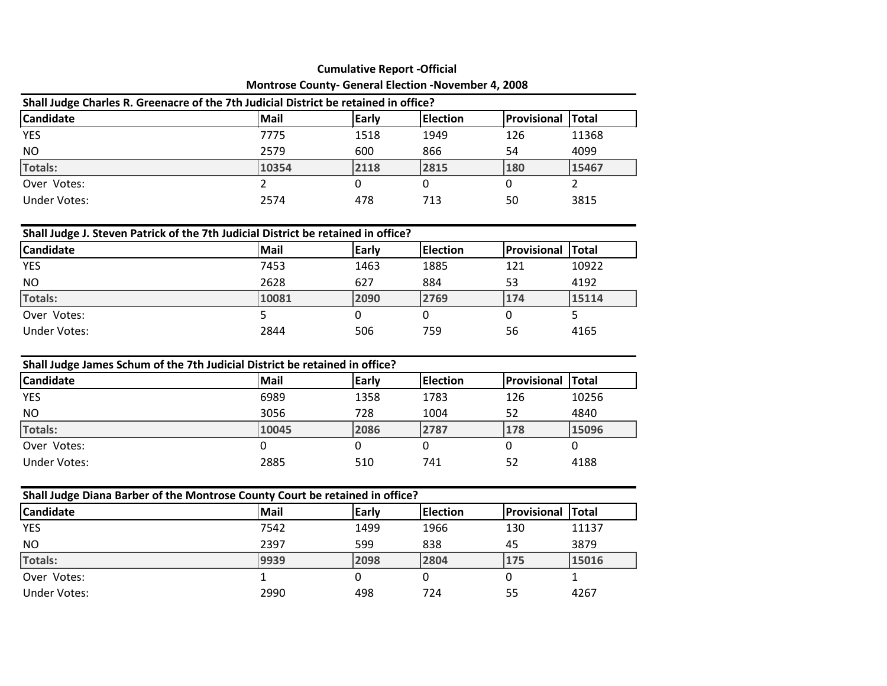|                  | <b>Montrose County- General Election -November 4, 2008</b>                           |                          |             |               |       |  |  |  |
|------------------|--------------------------------------------------------------------------------------|--------------------------|-------------|---------------|-------|--|--|--|
|                  | Shall Judge Charles R. Greenacre of the 7th Judicial District be retained in office? |                          |             |               |       |  |  |  |
| <b>Candidate</b> | <b>Mail</b>                                                                          | <b>Election</b><br>Early | Provisional | <b>ITotal</b> |       |  |  |  |
| <b>YES</b>       | 7775                                                                                 | 1518                     | 1949        | 126           | 11368 |  |  |  |
| <b>NO</b>        | 2579                                                                                 | 600                      | 866         | 54            | 4099  |  |  |  |
| Totals:          | 10354                                                                                | 2118                     | 2815        | 180           | 15467 |  |  |  |
| Over Votes:      |                                                                                      |                          |             |               |       |  |  |  |
| Under Votes:     | 2574                                                                                 | 478                      | 713         | 50            | 3815  |  |  |  |

| Shall Judge J. Steven Patrick of the 7th Judicial District be retained in office? |             |       |                  |                    |               |
|-----------------------------------------------------------------------------------|-------------|-------|------------------|--------------------|---------------|
| <b>Candidate</b>                                                                  | <b>Mail</b> | Early | <b>IElection</b> | <b>Provisional</b> | <b>ITotal</b> |
| <b>YES</b>                                                                        | 7453        | 1463  | 1885             | 121                | 10922         |
| <b>NO</b>                                                                         | 2628        | 627   | 884              | 53                 | 4192          |
| Totals:                                                                           | 10081       | 2090  | 2769             | 174                | 15114         |
| Over Votes:                                                                       |             |       |                  |                    |               |
| Under Votes:                                                                      | 2844        | 506   | 759              | 56                 | 4165          |

| Shall Judge James Schum of the 7th Judicial District be retained in office? |       |       |                  |             |              |  |
|-----------------------------------------------------------------------------|-------|-------|------------------|-------------|--------------|--|
| <b>Candidate</b>                                                            | Mail  | Early | <b>IElection</b> | Provisional | <b>Total</b> |  |
| <b>YES</b>                                                                  | 6989  | 1358  | 1783             | 126         | 10256        |  |
| <b>NO</b>                                                                   | 3056  | 728   | 1004             | 52          | 4840         |  |
| Totals:                                                                     | 10045 | 2086  | 2787             | 178         | 15096        |  |
| Over Votes:                                                                 |       |       |                  |             |              |  |
| Under Votes:                                                                | 2885  | 510   | 741              | 52          | 4188         |  |

| Shall Judge Diana Barber of the Montrose County Court be retained in office? |      |              |                 |                          |       |
|------------------------------------------------------------------------------|------|--------------|-----------------|--------------------------|-------|
| <b>Candidate</b>                                                             | Mail | <b>Early</b> | <b>Election</b> | <b>Provisional Total</b> |       |
| <b>YES</b>                                                                   | 7542 | 1499         | 1966            | 130                      | 11137 |
| <b>NO</b>                                                                    | 2397 | 599          | 838             | 45                       | 3879  |
| Totals:                                                                      | 9939 | 2098         | 2804            | 175                      | 15016 |
| Over Votes:                                                                  |      | 0            |                 |                          |       |
| Under Votes:                                                                 | 2990 | 498          | 724             | 55                       | 4267  |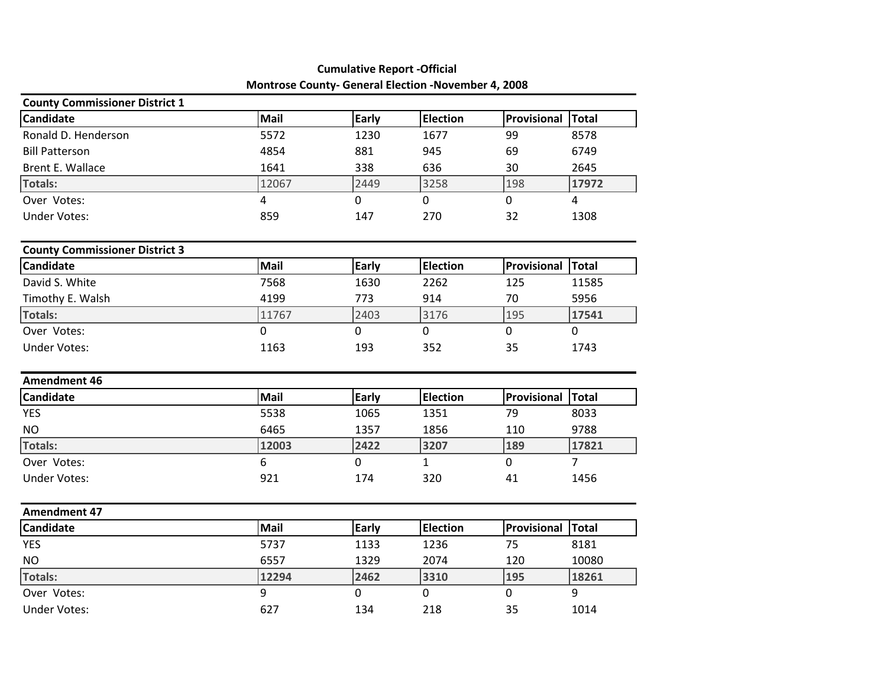| Montrose County- General Election -November 4, 2008 |       |       |                 |                    |                |  |  |  |
|-----------------------------------------------------|-------|-------|-----------------|--------------------|----------------|--|--|--|
| <b>County Commissioner District 1</b>               |       |       |                 |                    |                |  |  |  |
| Candidate                                           | Mail  | Early | <b>Election</b> | <b>Provisional</b> | Total          |  |  |  |
| Ronald D. Henderson                                 | 5572  | 1230  | 1677            | 99                 | 8578           |  |  |  |
| <b>Bill Patterson</b>                               | 4854  | 881   | 945             | 69                 | 6749           |  |  |  |
| Brent E. Wallace                                    | 1641  | 338   | 636             | 30                 | 2645           |  |  |  |
| <b>Totals:</b>                                      | 12067 | 2449  | 3258            | 198                | 17972          |  |  |  |
| Over Votes:                                         | 4     | 0     | 0               | 0                  | 4              |  |  |  |
| <b>Under Votes:</b>                                 | 859   | 147   | 270             | 32                 | 1308           |  |  |  |
| <b>County Commissioner District 3</b>               |       |       |                 |                    |                |  |  |  |
| Candidate                                           | Mail  | Early | <b>Election</b> | Provisional        | Total          |  |  |  |
| David S. White                                      | 7568  | 1630  | 2262            | 125                | 11585          |  |  |  |
| Timothy E. Walsh                                    | 4199  | 773   | 914             | 70                 | 5956           |  |  |  |
| <b>Totals:</b>                                      | 11767 | 2403  | 3176            | 195                | 17541          |  |  |  |
| Over Votes:                                         | 0     | 0     | 0               | $\mathbf 0$        | 0              |  |  |  |
| <b>Under Votes:</b>                                 | 1163  | 193   | 352             | 35                 | 1743           |  |  |  |
| <b>Amendment 46</b>                                 |       |       |                 |                    |                |  |  |  |
| Candidate                                           | Mail  | Early | <b>Election</b> | Provisional        | Total          |  |  |  |
| <b>YES</b>                                          | 5538  | 1065  | 1351            | 79                 | 8033           |  |  |  |
| <b>NO</b>                                           | 6465  | 1357  | 1856            | 110                | 9788           |  |  |  |
| <b>Totals:</b>                                      | 12003 | 2422  | 3207            | 189                | 17821          |  |  |  |
| Over Votes:                                         | 6     | 0     | 1               | $\mathbf 0$        | $\overline{7}$ |  |  |  |
| <b>Under Votes:</b>                                 | 921   | 174   | 320             | 41                 | 1456           |  |  |  |
| <b>Amendment 47</b>                                 |       |       |                 |                    |                |  |  |  |
| Candidate                                           | Mail  | Early | <b>Election</b> | Provisional        | Total          |  |  |  |
| <b>YES</b>                                          | 5737  | 1133  | 1236            | 75                 | 8181           |  |  |  |
| <b>NO</b>                                           | 6557  | 1329  | 2074            | 120                | 10080          |  |  |  |
| <b>Totals:</b>                                      | 12294 | 2462  | 3310            | 195                | 18261          |  |  |  |
| Over Votes:                                         | 9     | 0     | $\mathbf 0$     | $\mathbf 0$        | 9              |  |  |  |
| <b>Under Votes:</b>                                 | 627   | 134   | 218             | 35                 | 1014           |  |  |  |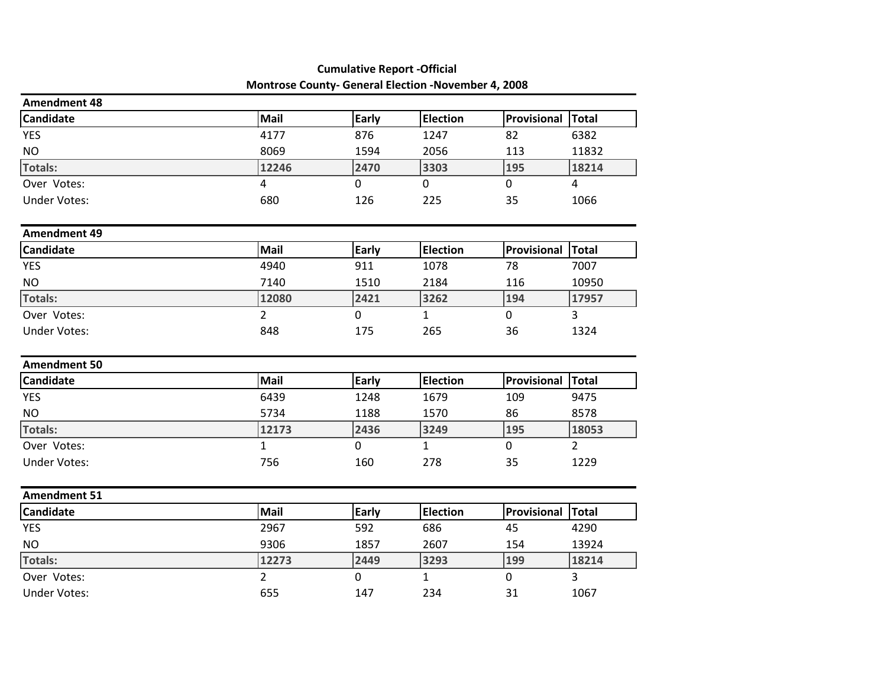|                     | Montrose County- General Election -November 4, 2008 |              |                 |              |                |
|---------------------|-----------------------------------------------------|--------------|-----------------|--------------|----------------|
| <b>Amendment 48</b> |                                                     |              |                 |              |                |
| <b>Candidate</b>    | Mail                                                | Early        | <b>Election</b> | Provisional  | Total          |
| <b>YES</b>          | 4177                                                | 876          | 1247            | 82           | 6382           |
| <b>NO</b>           | 8069                                                | 1594         | 2056            | 113          | 11832          |
| Totals:             | 12246                                               | 2470         | 3303            | 195          | 18214          |
| Over Votes:         | $\overline{4}$                                      | $\mathbf{0}$ | $\mathbf{0}$    | $\mathbf 0$  | $\overline{4}$ |
| <b>Under Votes:</b> | 680                                                 | 126          | 225             | 35           | 1066           |
| <b>Amendment 49</b> |                                                     |              |                 |              |                |
| <b>Candidate</b>    | Mail                                                | Early        | <b>Election</b> | Provisional  | Total          |
| <b>YES</b>          | 4940                                                | 911          | 1078            | 78           | 7007           |
| <b>NO</b>           | 7140                                                | 1510         | 2184            | 116          | 10950          |
| Totals:             | 12080                                               | 2421         | 3262            | 194          | 17957          |
| Over Votes:         | $\overline{2}$                                      | $\mathbf 0$  | $\mathbf{1}$    | $\mathbf 0$  | $\overline{3}$ |
| <b>Under Votes:</b> | 848                                                 | 175          | 265             | 36           | 1324           |
| <b>Amendment 50</b> |                                                     |              |                 |              |                |
| <b>Candidate</b>    | Mail                                                | Early        | <b>Election</b> | Provisional  | Total          |
| <b>YES</b>          | 6439                                                | 1248         | 1679            | 109          | 9475           |
| <b>NO</b>           | 5734                                                | 1188         | 1570            | 86           | 8578           |
| Totals:             | 12173                                               | 2436         | 3249            | 195          | 18053          |
| Over Votes:         | $\mathbf{1}$                                        | $\mathbf 0$  | $\mathbf{1}$    | $\mathbf{0}$ | $\overline{2}$ |
| <b>Under Votes:</b> | 756                                                 | 160          | 278             | 35           | 1229           |
| <b>Amendment 51</b> |                                                     |              |                 |              |                |
| <b>Candidate</b>    | Mail                                                | Early        | <b>Election</b> | Provisional  | Total          |
| <b>YES</b>          | 2967                                                | 592          | 686             | 45           | 4290           |
| $NO$                | 9306                                                | 1857         | 2607            | 154          | 13924          |
| Totals:             | 12273                                               | 2449         | 3293            | 199          | 18214          |
| Over Votes:         | $\overline{2}$                                      | 0            | $\mathbf{1}$    | $\mathbf 0$  | 3              |
| <b>Under Votes:</b> | 655                                                 | 147          | 234             | 31           | 1067           |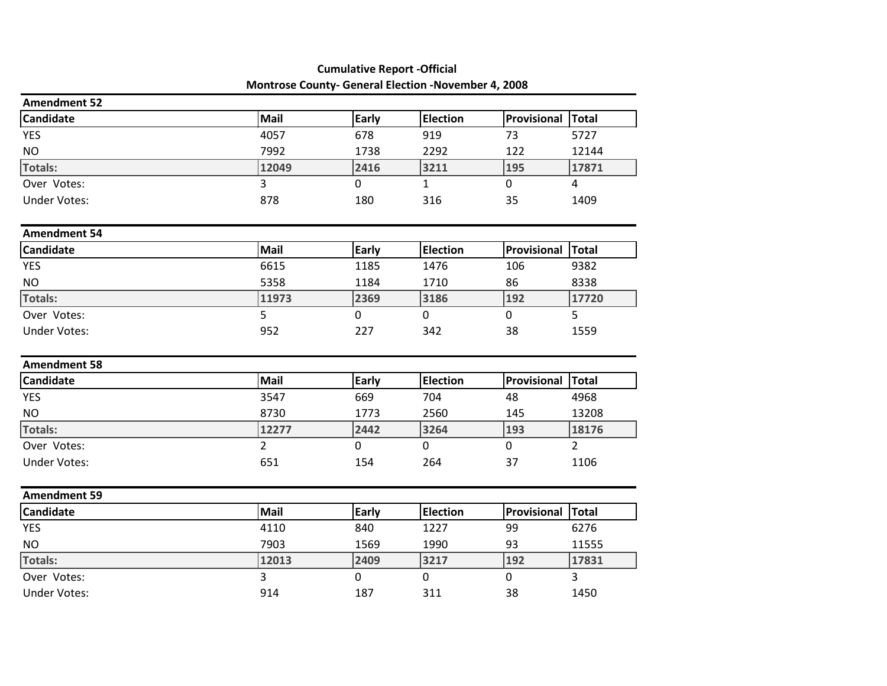|                     |                | Montrose County- General Election -November 4, 2008 |                 |             |                |  |  |
|---------------------|----------------|-----------------------------------------------------|-----------------|-------------|----------------|--|--|
| <b>Amendment 52</b> |                |                                                     |                 |             |                |  |  |
| <b>Candidate</b>    | Mail           | Early                                               | <b>Election</b> | Provisional | Total          |  |  |
| <b>YES</b>          | 4057           | 678                                                 | 919             | 73          | 5727           |  |  |
| <b>NO</b>           | 7992           | 1738                                                | 2292            | 122         | 12144          |  |  |
| <b>Totals:</b>      | 12049          | 2416                                                | 3211            | 195         | 17871          |  |  |
| Over Votes:         | $\overline{3}$ | $\mathbf 0$                                         | $\mathbf{1}$    | $\mathbf 0$ | $\overline{4}$ |  |  |
| <b>Under Votes:</b> | 878            | 180                                                 | 316             | 35          | 1409           |  |  |
| <b>Amendment 54</b> |                |                                                     |                 |             |                |  |  |
| Candidate           | Mail           | Early                                               | <b>Election</b> | Provisional | Total          |  |  |
| <b>YES</b>          | 6615           | 1185                                                | 1476            | 106         | 9382           |  |  |
| <b>NO</b>           | 5358           | 1184                                                | 1710            | 86          | 8338           |  |  |
| <b>Totals:</b>      | 11973          | 2369                                                | 3186            | 192         | 17720          |  |  |
| Over Votes:         | 5              | $\mathbf 0$                                         | 0               | $\mathbf 0$ | 5              |  |  |
| <b>Under Votes:</b> | 952            | 227                                                 | 342             | 38          | 1559           |  |  |
| <b>Amendment 58</b> |                |                                                     |                 |             |                |  |  |
| Candidate           | Mail           | <b>Early</b>                                        | <b>Election</b> | Provisional | Total          |  |  |
| <b>YES</b>          | 3547           | 669                                                 | 704             | 48          | 4968           |  |  |
| <b>NO</b>           | 8730           | 1773                                                | 2560            | 145         | 13208          |  |  |
| <b>Totals:</b>      | 12277          | 2442                                                | 3264            | 193         | 18176          |  |  |
| Over Votes:         | $\overline{2}$ | $\mathbf 0$                                         | $\mathbf 0$     | $\mathbf 0$ | $\overline{2}$ |  |  |
| <b>Under Votes:</b> | 651            | 154                                                 | 264             | 37          | 1106           |  |  |
| Amendment 59        |                |                                                     |                 |             |                |  |  |
| Candidate           | Mail           | Early                                               | <b>Election</b> | Provisional | Total          |  |  |
| <b>YES</b>          | 4110           | 840                                                 | 1227            | 99          | 6276           |  |  |
| <b>NO</b>           | 7903           | 1569                                                | 1990            | 93          | 11555          |  |  |
| <b>Totals:</b>      | 12013          | 2409                                                | 3217            | 192         | 17831          |  |  |
| Over Votes:         | 3              | $\mathbf 0$                                         | $\mathbf 0$     | $\mathbf 0$ | 3              |  |  |
| <b>Under Votes:</b> | 914            | 187                                                 | 311             | 38          | 1450           |  |  |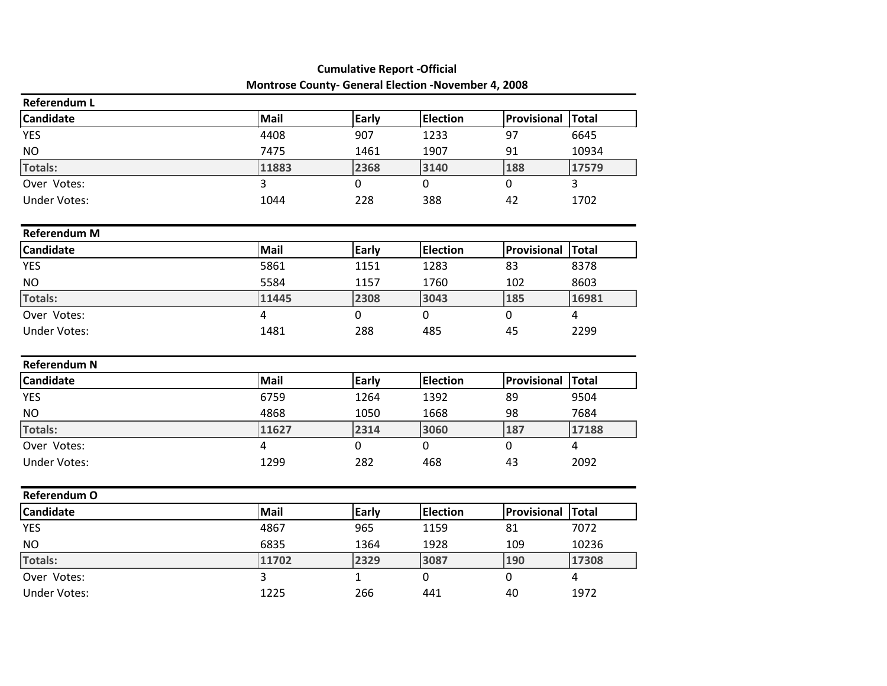|                     | Montrose County- General Election -November 4, 2008 |              |                 |             |                |
|---------------------|-----------------------------------------------------|--------------|-----------------|-------------|----------------|
| <b>Referendum L</b> |                                                     |              |                 |             |                |
| Candidate           | Mail                                                | Early        | <b>Election</b> | Provisional | Total          |
| <b>YES</b>          | 4408                                                | 907          | 1233            | 97          | 6645           |
| $NO$                | 7475                                                | 1461         | 1907            | 91          | 10934          |
| <b>Totals:</b>      | 11883                                               | 2368         | 3140            | 188         | 17579          |
| Over Votes:         | 3                                                   | $\mathbf 0$  | 0               | $\mathbf 0$ | 3              |
| <b>Under Votes:</b> | 1044                                                | 228          | 388             | 42          | 1702           |
| <b>Referendum M</b> |                                                     |              |                 |             |                |
| Candidate           | Mail                                                | <b>Early</b> | <b>Election</b> | Provisional | Total          |
| <b>YES</b>          | 5861                                                | 1151         | 1283            | 83          | 8378           |
| <b>NO</b>           | 5584                                                | 1157         | 1760            | 102         | 8603           |
| <b>Totals:</b>      | 11445                                               | 2308         | 3043            | 185         | 16981          |
| Over Votes:         | $\overline{4}$                                      | 0            | 0               | $\mathbf 0$ | 4              |
| <b>Under Votes:</b> | 1481                                                | 288          | 485             | 45          | 2299           |
| <b>Referendum N</b> |                                                     |              |                 |             |                |
| <b>Candidate</b>    | Mail                                                | <b>Early</b> | <b>Election</b> | Provisional | Total          |
| <b>YES</b>          | 6759                                                | 1264         | 1392            | 89          | 9504           |
| <b>NO</b>           | 4868                                                | 1050         | 1668            | 98          | 7684           |
| <b>Totals:</b>      | 11627                                               | 2314         | 3060            | 187         | 17188          |
| Over Votes:         | $\overline{4}$                                      | $\mathbf 0$  | $\overline{0}$  | $\mathbf 0$ | $\overline{4}$ |
| <b>Under Votes:</b> | 1299                                                | 282          | 468             | 43          | 2092           |
| Referendum O        |                                                     |              |                 |             |                |
| Candidate           | Mail                                                | Early        | <b>Election</b> | Provisional | <b>Total</b>   |
| <b>YES</b>          | 4867                                                | 965          | 1159            | 81          | 7072           |
| <b>NO</b>           | 6835                                                | 1364         | 1928            | 109         | 10236          |
| <b>Totals:</b>      | 11702                                               | 2329         | 3087            | 190         | 17308          |
| Over Votes:         | 3                                                   | 1            | 0               | $\pmb{0}$   | 4              |
| <b>Under Votes:</b> | 1225                                                | 266          | 441             | 40          | 1972           |